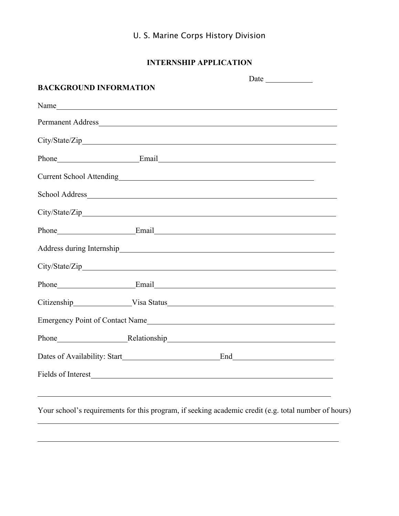# **INTERNSHIP APPLICATION**

| <b>BACKGROUND INFORMATION</b>                                                                                                                                                                                                        |  |  |
|--------------------------------------------------------------------------------------------------------------------------------------------------------------------------------------------------------------------------------------|--|--|
| Name                                                                                                                                                                                                                                 |  |  |
|                                                                                                                                                                                                                                      |  |  |
|                                                                                                                                                                                                                                      |  |  |
| Phone Email Email Email                                                                                                                                                                                                              |  |  |
| Current School Attending<br><u>Current School Attending</u>                                                                                                                                                                          |  |  |
|                                                                                                                                                                                                                                      |  |  |
|                                                                                                                                                                                                                                      |  |  |
| Phone Email Email Email Email                                                                                                                                                                                                        |  |  |
|                                                                                                                                                                                                                                      |  |  |
|                                                                                                                                                                                                                                      |  |  |
| Phone Email Email Email Email Email Email Email Email Email Email Email Email Email Email Email Email Email Email Email Email Email Email Email Email Email Email Email Email Email Email Email Email Email Email Email Email        |  |  |
|                                                                                                                                                                                                                                      |  |  |
| Emergency Point of Contact Name                                                                                                                                                                                                      |  |  |
|                                                                                                                                                                                                                                      |  |  |
|                                                                                                                                                                                                                                      |  |  |
| Fields of Interest <b>Executive Contract Contract Contract Contract Contract Contract Contract Contract Contract Contract Contract Contract Contract Contract Contract Contract Contract Contract Contract Contract Contract Con</b> |  |  |
|                                                                                                                                                                                                                                      |  |  |
|                                                                                                                                                                                                                                      |  |  |

Your school's requirements for this program, if seeking academic credit (e.g. total number of hours)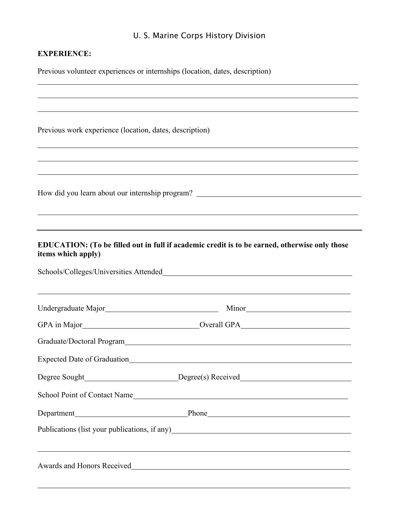## **EXPERIENCE:**

Previous volunteer experiences or internships (location, dates, description)

| Previous work experience (location, dates, description)                                                                                                                           |                                                                                         |  |  |  |
|-----------------------------------------------------------------------------------------------------------------------------------------------------------------------------------|-----------------------------------------------------------------------------------------|--|--|--|
|                                                                                                                                                                                   |                                                                                         |  |  |  |
| ,我们也不会有什么。""我们的人,我们也不会有什么?""我们的人,我们也不会有什么?""我们的人,我们也不会有什么?""我们的人,我们也不会有什么?""我们的人<br>EDUCATION: (To be filled out in full if academic credit is to be earned, otherwise only those |                                                                                         |  |  |  |
| items which apply)                                                                                                                                                                | Schools/Colleges/Universities Attended<br><u>Schools/Colleges/Universities Attended</u> |  |  |  |
|                                                                                                                                                                                   |                                                                                         |  |  |  |
|                                                                                                                                                                                   |                                                                                         |  |  |  |
|                                                                                                                                                                                   |                                                                                         |  |  |  |
|                                                                                                                                                                                   |                                                                                         |  |  |  |
| Degree Sought                                                                                                                                                                     | Degree(s) Received                                                                      |  |  |  |
|                                                                                                                                                                                   | School Point of Contact Name                                                            |  |  |  |
|                                                                                                                                                                                   |                                                                                         |  |  |  |
|                                                                                                                                                                                   | Publications (list your publications, if any)<br><u>Example 2014</u>                    |  |  |  |
|                                                                                                                                                                                   |                                                                                         |  |  |  |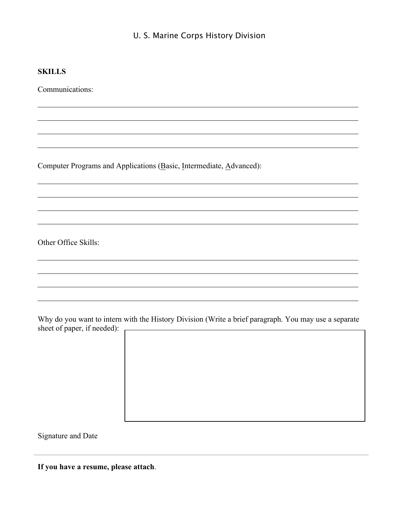#### **SKILLS**

Communications:

Computer Programs and Applications (Basic, Intermediate, Advanced):

Other Office Skills:

Why do you want to intern with the History Division (Write a brief paragraph. You may use a separate sheet of paper, if needed):

Signature and Date

**If you have a resume, please attach**.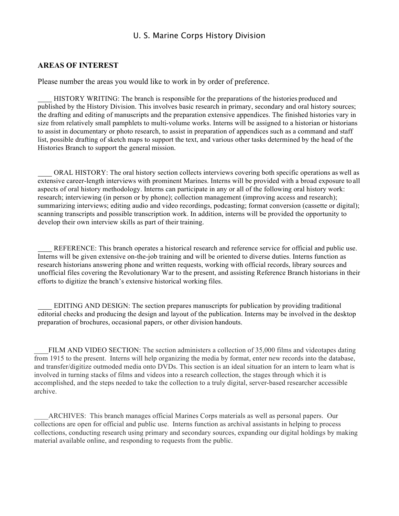#### **AREAS OF INTEREST**

Please number the areas you would like to work in by order of preference.

HISTORY WRITING: The branch is responsible for the preparations of the histories produced and published by the History Division. This involves basic research in primary, secondary and oral history sources; the drafting and editing of manuscripts and the preparation extensive appendices. The finished histories vary in size from relatively small pamphlets to multi-volume works. Interns will be assigned to a historian or historians to assist in documentary or photo research, to assist in preparation of appendices such as a command and staff list, possible drafting of sketch maps to support the text, and various other tasks determined by the head of the Histories Branch to support the general mission.

ORAL HISTORY: The oral history section collects interviews covering both specific operations as well as extensive career-length interviews with prominent Marines. Interns will be provided with a broad exposure to all aspects of oral history methodology. Interns can participate in any or all of the following oral history work: research; interviewing (in person or by phone); collection management (improving access and research); summarizing interviews; editing audio and video recordings, podcasting; format conversion (cassette or digital); scanning transcripts and possible transcription work. In addition, interns will be provided the opportunity to develop their own interview skills as part of their training.

REFERENCE: This branch operates a historical research and reference service for official and public use. Interns will be given extensive on-the-job training and will be oriented to diverse duties. Interns function as research historians answering phone and written requests, working with official records, library sources and unofficial files covering the Revolutionary War to the present, and assisting Reference Branch historians in their efforts to digitize the branch's extensive historical working files.

EDITING AND DESIGN: The section prepares manuscripts for publication by providing traditional editorial checks and producing the design and layout of the publication. Interns may be involved in the desktop preparation of brochures, occasional papers, or other division handouts.

FILM AND VIDEO SECTION: The section administers a collection of 35,000 films and videotapes dating from 1915 to the present. Interns will help organizing the media by format, enter new records into the database, and transfer/digitize outmoded media onto DVDs. This section is an ideal situation for an intern to learn what is involved in turning stacks of films and videos into a research collection, the stages through which it is accomplished, and the steps needed to take the collection to a truly digital, server-based researcher accessible archive.

ARCHIVES: This branch manages official Marines Corps materials as well as personal papers. Our collections are open for official and public use. Interns function as archival assistants in helping to process collections, conducting research using primary and secondary sources, expanding our digital holdings by making material available online, and responding to requests from the public.